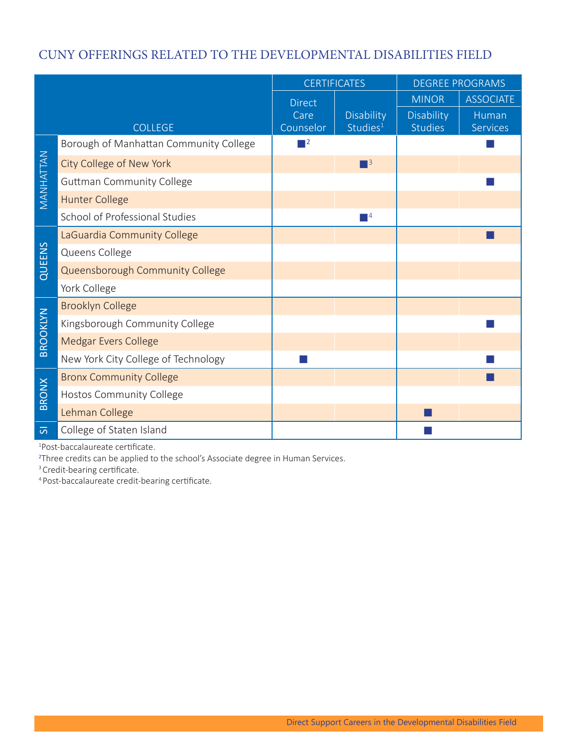## CUNY OFFERINGS RELATED TO THE DEVELOPMENTAL DISABILITIES FIELD CUNY OFFERINGS RELATED TO THE DEVELOPMENTAL DISABILITIES FIELD

|                     |                                        | <b>CERTIFICATES</b>                                                                                                   |                                    | DEGREE PROGRAMS       |                   |
|---------------------|----------------------------------------|-----------------------------------------------------------------------------------------------------------------------|------------------------------------|-----------------------|-------------------|
|                     |                                        | <b>Direct</b>                                                                                                         |                                    | <b>MINOR</b>          | ASSOCIATE         |
|                     | <b>COLLEGE</b>                         | Care<br>Counselor                                                                                                     | Disability<br>Studies <sup>1</sup> | Disability<br>Studies | Human<br>Services |
| MANHATTAN           | Borough of Manhattan Community College | $\blacksquare$                                                                                                        |                                    |                       | $\sim$            |
|                     | City College of New York               |                                                                                                                       | $\blacksquare$ <sup>3</sup>        |                       |                   |
|                     | <b>Guttman Community College</b>       |                                                                                                                       |                                    |                       | m.                |
|                     | Hunter College                         |                                                                                                                       |                                    |                       |                   |
|                     | School of Professional Studies         |                                                                                                                       | $\Box$ 4                           |                       |                   |
|                     | LaGuardia Community College            |                                                                                                                       |                                    |                       | п                 |
| QUEENS              | Queens College                         |                                                                                                                       |                                    |                       |                   |
|                     | Queensborough Community College        |                                                                                                                       |                                    |                       |                   |
|                     | York College                           |                                                                                                                       |                                    |                       |                   |
|                     | Brooklyn College                       |                                                                                                                       |                                    |                       |                   |
| BROOKLYN            | Kingsborough Community College         |                                                                                                                       |                                    |                       |                   |
|                     | Medgar Evers College                   |                                                                                                                       |                                    |                       |                   |
|                     | New York City College of Technology    | <b>The Contract of the Contract of the Contract of the Contract of the Contract of the Contract of the Contract o</b> |                                    |                       | $\sim$            |
| BRONX               | <b>Bronx Community College</b>         |                                                                                                                       |                                    |                       | п                 |
|                     | Hostos Community College               |                                                                                                                       |                                    |                       |                   |
|                     | Lehman College                         |                                                                                                                       |                                    |                       |                   |
| $\overline{\omega}$ | College of Staten Island               |                                                                                                                       |                                    |                       |                   |

1 Post-baccalaureate certificate.

<sup>2</sup>Three credits can be applied to the school's Associate degree in Human Services.

<sup>3</sup> Credit-bearing certificate.

4 Post-baccalaureate credit-bearing certificate.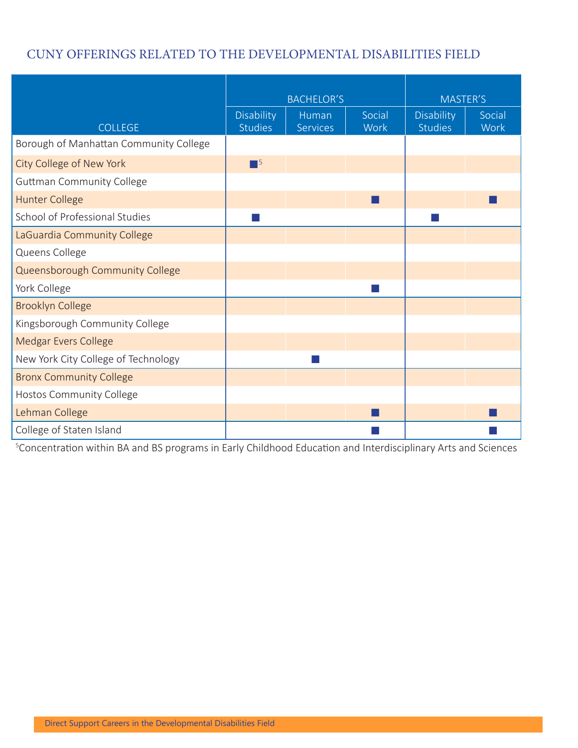## CUNY OFFERINGS RELATED TO THE DEVELOPMENTAL DISABILITIES FIELD CUNY OFFERINGS RELATED TO THE DEVELOPMENTAL DISABILITIES FIELD

|                                        | BACHELOR'S            |                   | MASTER'S                    |                       |                |
|----------------------------------------|-----------------------|-------------------|-----------------------------|-----------------------|----------------|
| COLLEGE                                | Disability<br>Studies | Human<br>Services | Social<br>Work              | Disability<br>Studies | Social<br>Work |
| Borough of Manhattan Community College |                       |                   |                             |                       |                |
| City College of New York               | $\blacksquare^5$      |                   |                             |                       |                |
| <b>Guttman Community College</b>       |                       |                   |                             |                       |                |
| Hunter College                         |                       |                   | <b>Tale</b>                 |                       |                |
| School of Professional Studies         | $\sim$                |                   |                             | li s                  |                |
| LaGuardia Community College            |                       |                   |                             |                       |                |
| Queens College                         |                       |                   |                             |                       |                |
| Queensborough Community College        |                       |                   |                             |                       |                |
| York College                           |                       |                   | $\mathcal{L}_{\mathcal{A}}$ |                       |                |
| Brooklyn College                       |                       |                   |                             |                       |                |
| Kingsborough Community College         |                       |                   |                             |                       |                |
| Medgar Evers College                   |                       |                   |                             |                       |                |
| New York City College of Technology    |                       |                   |                             |                       |                |
| <b>Bronx Community College</b>         |                       |                   |                             |                       |                |
| Hostos Community College               |                       |                   |                             |                       |                |
| Lehman College                         |                       |                   | ш                           |                       |                |
| College of Staten Island               |                       |                   |                             |                       |                |

<sup>5</sup>Concentration within BA and BS programs in Early Childhood Education and Interdisciplinary Arts and Sciences